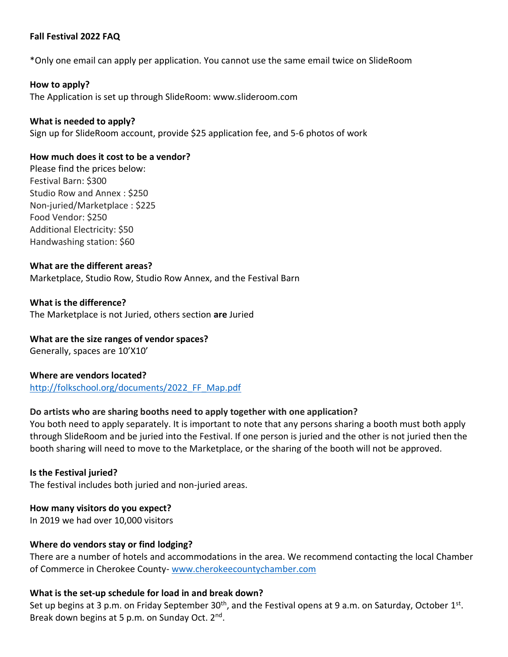## **Fall Festival 2022 FAQ**

\*Only one email can apply per application. You cannot use the same email twice on SlideRoom

## **How to apply?**

The Application is set up through SlideRoom: www.slideroom.com

## **What is needed to apply?**

Sign up for SlideRoom account, provide \$25 application fee, and 5-6 photos of work

#### **How much does it cost to be a vendor?**

Please find the prices below: Festival Barn: \$300 Studio Row and Annex : \$250 Non-juried/Marketplace : \$225 Food Vendor: \$250 Additional Electricity: \$50 Handwashing station: \$60

#### **What are the different areas?**

Marketplace, Studio Row, Studio Row Annex, and the Festival Barn

#### **What is the difference?**

The Marketplace is not Juried, others section **are** Juried

# **What are the size ranges of vendor spaces?**

Generally, spaces are 10'X10'

## **Where are vendors located?**

[http://folkschool.org/documents/2022\\_FF\\_Map.pdf](http://folkschool.org/documents/2022_FF_Map.pdf)

## **Do artists who are sharing booths need to apply together with one application?**

You both need to apply separately. It is important to note that any persons sharing a booth must both apply through SlideRoom and be juried into the Festival. If one person is juried and the other is not juried then the booth sharing will need to move to the Marketplace, or the sharing of the booth will not be approved.

# **Is the Festival juried?**

The festival includes both juried and non-juried areas.

## **How many visitors do you expect?**

In 2019 we had over 10,000 visitors

## **Where do vendors stay or find lodging?**

There are a number of hotels and accommodations in the area. We recommend contacting the local Chamber of Commerce in Cherokee County- [www.cherokeecountychamber.com](http://www.cherokeecountychamber.com/)

## **What is the set-up schedule for load in and break down?**

Set up begins at 3 p.m. on Friday September 30<sup>th</sup>, and the Festival opens at 9 a.m. on Saturday, October 1<sup>st</sup>. Break down begins at 5 p.m. on Sunday Oct. 2<sup>nd</sup>.